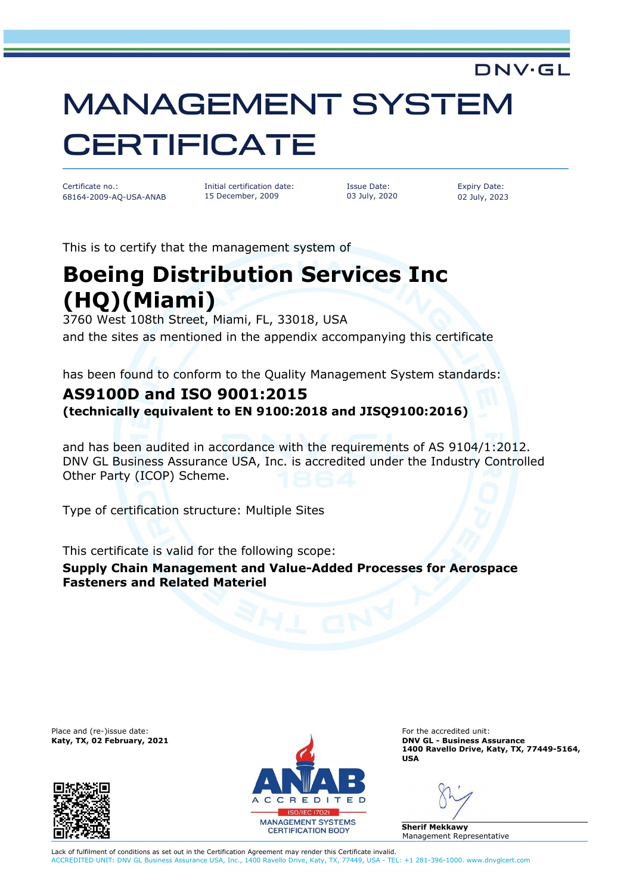# MANAGEMENT SYSTEM **CERTIFICATE**

Certificate no.: 68164-2009-AQ-USA-ANAB Initial certification date: 15 December, 2009

Issue Date: 03 July, 2020 Expiry Date: 02 July, 2023

DNV·GL

This is to certify that the management system of

## **Boeing Distribution Services Inc (HQ)(Miami)**

3760 West 108th Street, Miami, FL, 33018, USA and the sites as mentioned in the appendix accompanying this certificate

has been found to conform to the Quality Management System standards:

### **AS9100D and ISO 9001:2015**

**(technically equivalent to EN 9100:2018 and JISQ9100:2016)**

and has been audited in accordance with the requirements of AS 9104/1:2012. DNV GL Business Assurance USA, Inc. is accredited under the Industry Controlled Other Party (ICOP) Scheme.

Type of certification structure: Multiple Sites

This certificate is valid for the following scope: **Supply Chain Management and Value-Added Processes for Aerospace Fasteners and Related Materiel**





**Katy, TX, 02 February, 2021 DNV GL - Business Assurance 1400 Ravello Drive, Katy, TX, 77449-5164, USA**

**Sherif Mekkawy** Management Representative

Lack of fulfilment of conditions as set out in the Certification Agreement may render this Certificate invalid. ACCREDITED UNIT: DNV GL Business Assurance USA, Inc., 1400 Ravello Drive, Katy, TX, 77449, USA - TEL: +1 281-396-1000. www.dnvglcert.com